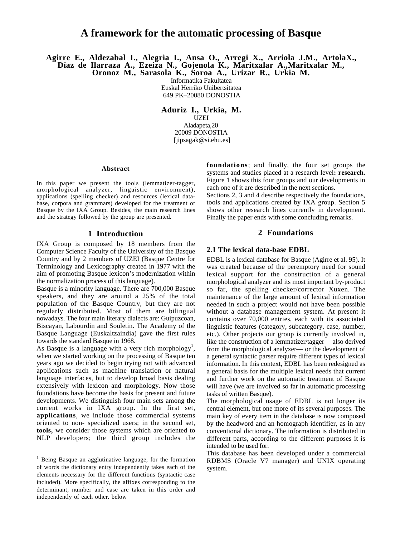## **A framework for the automatic processing of Basque**

**Agirre E., Aldezabal I., Alegria I., Ansa O., Arregi X., Arriola J.M., ArtolaX., Díaz de Ilarraza A., Ezeiza N., Gojenola K., Maritxalar A.,Maritxalar M.,**

**Oronoz M., Sarasola K., Soroa A., Urizar R., Urkia M.**

Informatika Fakultatea Euskal Herriko Unibertsitatea 649 PK–20080 DONOSTIA

**Aduriz I., Urkia, M.** UZEI Aladapeta,20 20009 DONOSTIA [jipsagak@si.ehu.es]

## **Abstract**

In this paper we present the tools (lemmatizer-tagger, morphological analyzer, linguistic environment), applications (spelling checker) and resources (lexical database, corpora and grammars) developed for the treatment of Basque by the IXA Group. Besides, the main research lines and the strategy followed by the group are presented.

#### **1 Introduction**

IXA Group is composed by 18 members from the Computer Science Faculty of the University of the Basque Country and by 2 members of UZEI (Basque Centre for Terminology and Lexicography created in 1977 with the aim of promoting Basque lexicon's modernization within the normalization process of this language).

Basque is a minority language. There are 700,000 Basque speakers, and they are around a 25% of the total population of the Basque Country, but they are not regularly distributed. Most of them are bilingual nowadays. The four main literary dialects are: Guipuzcoan, Biscayan, Labourdin and Souletin. The Academy of the Basque Language (Euskaltzaindia) gave the first rules towards the standard Basque in 1968.

As Basque is a language with a very rich morphology<sup>1</sup>, when we started working on the processing of Basque ten years ago we decided to begin trying not with advanced applications such as machine translation or natural language interfaces, but to develop broad basis dealing extensively with lexicon and morphology. Now those foundations have become the basis for present and future developments. We distinguish four main sets among the current works in IXA group. In the first set, **applications**, we include those commercial systems oriented to non- specialized users; in the second set, **tools,** we consider those systems which are oriented to NLP developers; the third group includes the **foundations**; and finally, the four set groups the systems and studies placed at a research level**: research.** Figure 1 shows this four groups and our developments in each one of it are described in the next sections.

Sections 2, 3 and 4 describe respectively the foundations, tools and applications created by IXA group. Section 5 shows other research lines currently in development. Finally the paper ends with some concluding remarks.

### **2 Foundations**

## **2.1 The lexical data-base EDBL**

EDBL is a lexical database for Basque (Agirre et al. 95). It was created because of the peremptory need for sound lexical support for the construction of a general morphological analyzer and its most important by-product so far, the spelling checker/corrector Xuxen. The maintenance of the large amount of lexical information needed in such a project would not have been possible without a database management system. At present it contains over 70,000 entries, each with its associated linguistic features (category, subcategory, case, number, etc.). Other projects our group is currently involved in, like the construction of a lemmatizer/tagger —also derived from the morphological analyzer— or the development of a general syntactic parser require different types of lexical information. In this context, EDBL has been redesigned as a general basis for the multiple lexical needs that current and further work on the automatic treatment of Basque will have (we are involved so far in automatic processing tasks of written Basque).

The morphological usage of EDBL is not longer its central element, but one more of its several purposes. The main key of every item in the database is now composed by the headword and an homograph identifier, as in any conventional dictionary. The information is distributed in different parts, according to the different purposes it is intended to be used for.

This database has been developed under a commercial RDBMS (Oracle V7 manager) and UNIX operating system.

<sup>&</sup>lt;sup>1</sup> Being Basque an agglutinative language, for the formation of words the dictionary entry independently takes each of the elements necessary for the different functions (syntactic case included). More specifically, the affixes corresponding to the determinant, number and case are taken in this order and independently of each other. below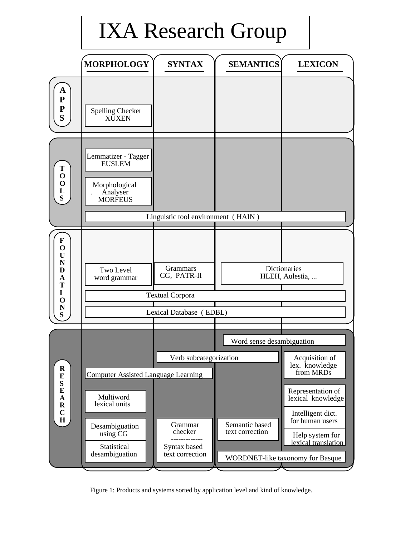# IXA Research Group



Figure 1: Products and systems sorted by application level and kind of knowledge.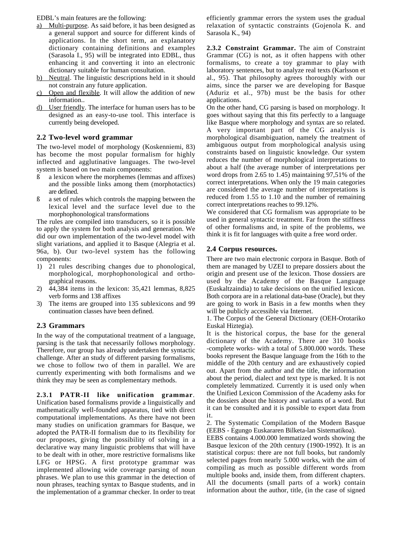EDBL's main features are the following:

- a) Multi-purpose. As said before, it has been designed as a general support and source for different kinds of applications. In the short term, an explanatory dictionary containing definitions and examples (Sarasola I., 95) will be integrated into EDBL, thus enhancing it and converting it into an electronic dictionary suitable for human consultation.
- b) Neutral. The linguistic descriptions held in it should not constrain any future application.
- c) Open and flexible. It will allow the addition of new information..
- d) User friendly. The interface for human users has to be designed as an easy-to-use tool. This interface is currently being developed.

## **2.2 Two-level word grammar**

The two-level model of morphology (Koskenniemi, 83) has become the most popular formalism for highly inflected and agglutinative languages. The two-level system is based on two main components:

- ß a lexicon where the morphemes (lemmas and affixes) and the possible links among them (morphotactics) are defined.
- ß a set of rules which controls the mapping between the lexical level and the surface level due to the morphophonological transformations

The rules are compiled into transducers, so it is possible to apply the system for both analysis and generation. We did our own implementation of the two-level model with slight variations, and applied it to Basque (Alegria et al. 96a, b). Our two-level system has the following components:

- 1) 21 rules describing changes due to phonological, morphological, morphophonological and orthographical reasons.
- 2) 44,384 items in the lexicon: 35,421 lemmas, 8,825 verb forms and 138 affixes
- 3) The items are grouped into 135 sublexicons and 99 continuation classes have been defined.

## **2.3 Grammars**

In the way of the computational treatment of a language, parsing is the task that necessarily follows morphology. Therefore, our group has already undertaken the syntactic challenge. After an study of different parsing formalisms, we chose to follow two of them in parallel. We are currently experimenting with both formalisms and we think they may be seen as complementary methods.

**2.3.1 PATR-II like unification grammar**. Unification based formalisms provide a linguistically and mathematically well-founded apparatus, tied with direct computational implementations. As there have not been many studies on unification grammars for Basque, we adopted the PATR-II formalism due to its flexibility for our proposes, giving the possibility of solving in a declarative way many linguistic problems that will have to be dealt with in other, more restrictive formalisms like LFG or HPSG. A first prototype grammar was implemented allowing wide coverage parsing of noun phrases. We plan to use this grammar in the detection of noun phrases, teaching syntax to Basque students, and in the implementation of a grammar checker. In order to treat

efficiently grammar errors the system uses the gradual relaxation of syntactic constraints (Gojenola K. and Sarasola K., 94)

**2.3.2 Constraint Grammar.** The aim of Constraint Grammar (CG) is not, as it often happens with other formalisms, to create a toy grammar to play with laboratory sentences, but to analyze real texts (Karlsson et al., 95). That philosophy agrees thoroughly with our aims, since the parser we are developing for Basque (Aduriz et al., 97b) must be the basis for other applications.

On the other hand, CG parsing is based on morphology. It goes without saying that this fits perfectly to a language like Basque where morphology and syntax are so related. A very important part of the CG analysis is morphological disambiguation, namely the treatment of ambiguous output from morphological analysis using constraints based on linguistic knowledge. Our system reduces the number of morphological interpretations to about a half (the average number of interpretations per word drops from 2.65 to 1.45) maintaining 97,51% of the correct interpretations. When only the 19 main categories are considered the average number of interpretations is reduced from 1.55 to 1.10 and the number of remaining correct interpretations reaches to 99.12%.

We considered that CG formalism was appropriate to be used in general syntactic treatment. Far from the stiffness of other formalisms and, in spite of the problems, we think it is fit for languages with quite a free word order.

## **2.4 Corpus resources.**

There are two main electronic corpora in Basque. Both of them are managed by UZEI to prepare dossiers about the origin and present use of the lexicon. Those dossiers are used by the Academy of the Basque Language (Euskaltzaindia) to take decisions on the unified lexicon. Both corpora are in a relational data-base (Oracle), but they are going to work in Basis in a few months when they will be publicly accessible via Internet.

1. The Corpus of the General Dictionary (OEH-Orotariko Euskal Hiztegia).

It is the historical corpus, the base for the general dictionary of the Academy. There are 310 books -complete works- with a total of 5.800.000 words. These books represent the Basque language from the 16th to the middle of the 20th century and are exhaustively copied out. Apart from the author and the title, the information about the period, dialect and text type is marked. It is not completely lemmatized. Currently it is used only when the Unified Lexicon Commission of the Academy asks for the dossiers about the history and variants of a word. But it can be consulted and it is possible to export data from it.

2. The Systematic Compilation of the Modern Basque (EEBS - Egungo Euskararen Bilketa-lan Sistematikoa).

EEBS contains 4.000.000 lemmatized words showing the Basque lexicon of the 20th century (1900-1992). It is an statistical corpus: there are not full books, but randomly selected pages from nearly 5.000 works, with the aim of compiling as much as possible different words from multiple books and, inside them, from different chapters. All the documents (small parts of a work) contain information about the author, title, (in the case of signed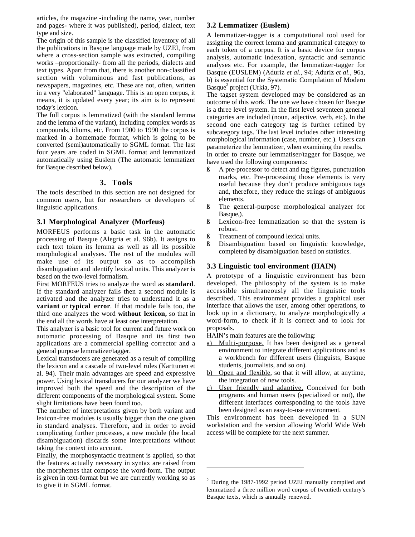articles, the magazine -including the name, year, number and pages- where it was published), period, dialect, text type and size.

The origin of this sample is the classified inventory of all the publications in Basque language made by UZEI, from where a cross-section sample was extracted, compiling works –proportionally- from all the periods, dialects and text types. Apart from that, there is another non-classified section with voluminous and fast publications, as newspapers, magazines, etc. These are not, often, written in a very "elaborated" language. This is an open corpus, it means, it is updated every year; its aim is to represent today's lexicon.

The full corpus is lemmatized (with the standard lemma and the lemma of the variant), including complex words as compounds, idioms, etc. From 1900 to 1990 the corpus is marked in a homemade format, which is going to be converted (semi)automatically to SGML format. The last four years are coded in SGML format and lemmatized automatically using Euslem (The automatic lemmatizer for Basque described below).

## **3. Tools**

The tools described in this section are not designed for common users, but for researchers or developers of linguistic applications.

## **3.1 Morphological Analyzer (Morfeus)**

MORFEUS performs a basic task in the automatic processing of Basque (Alegria et al. 96b). It assigns to each text token its lemma as well as all its possible morphological analyses. The rest of the modules will make use of its output so as to accomplish disambiguation and identify lexical units. This analyzer is based on the two-level formalism.

First MORFEUS tries to analyze the word as **standard**. If the standard analyzer fails then a second module is activated and the analyzer tries to understand it as a **variant** or **typical error**. If that module fails too, the third one analyzes the word **without lexicon,** so that in the end all the words have at least one interpretation.

This analyzer is a basic tool for current and future work on automatic processing of Basque and its first two applications are a commercial spelling corrector and a general purpose lemmatizer/tagger.

Lexical transducers are generated as a result of compiling the lexicon and a cascade of two-level rules (Karttunen et al. 94). Their main advantages are speed and expressive power. Using lexical transducers for our analyzer we have improved both the speed and the description of the different components of the morphological system. Some slight limitations have been found too.

The number of interpretations given by both variant and lexicon-free modules is usually bigger than the one given in standard analyses. Therefore, and in order to avoid complicating further processes, a new module (the local disambiguation) discards some interpretations without taking the context into account.

Finally, the morphosyntactic treatment is applied, so that the features actually necessary in syntax are raised from the morphemes that compose the word-form. The output is given in text-format but we are currently working so as to give it in SGML format.

### **3.2 Lemmatizer (Euslem)**

A lemmatizer-tagger is a computational tool used for assigning the correct lemma and grammatical category to each token of a corpus. It is a basic device for corpus analysis, automatic indexation, syntactic and semantic analyses etc. For example, the lemmatizer-tagger for Basque (EUSLEM) (Aduriz *et al.*, 94; Aduriz *et al.*, 96a, b) is essential for the Systematic Compilation of Modern Basque<sup>2</sup> project (Urkia, 97).

The tagset system developed may be considered as an outcome of this work. The one we have chosen for Basque is a three level system. In the first level seventeen general categories are included (noun, adjective, verb, etc). In the second one each category tag is further refined by subcategory tags. The last level includes other interesting morphological information (case, number, etc.). Users can parameterize the lemmatizer, when examining the results. In order to create our lemmatiser/tagger for Basque, we

have used the following components:

- ß A pre-processor to detect and tag figures, punctuation marks, etc. Pre-processing those elements is very useful because they don't produce ambiguous tags and, therefore, they reduce the strings of ambiguous elements.
- ß The general-purpose morphological analyzer for Basque,).
- ß Lexicon-free lemmatization so that the system is robust.
- ß Treatment of compound lexical units.
- ß Disambiguation based on linguistic knowledge, completed by disambiguation based on statistics.

## **3.3 Linguistic tool environment (HAIN)**

A prototype of a linguistic environment has been developed. The philosophy of the system is to make accessible simultaneously all the linguistic tools described. This environment provides a graphical user interface that allows the user, among other operations, to look up in a dictionary, to analyze morphologically a word-form, to check if it is correct and to look for proposals.

HAIN's main features are the following:

- Multi-purpose. It has been designed as a general environment to integrate different applications and as a workbench for different users (linguists, Basque students, journalists, and so on).
- b) Open and flexible, so that it will allow, at anytime, the integration of new tools.
- c) User friendly and adaptive. Conceived for both programs and human users (specialized or not), the different interfaces corresponding to the tools have been designed as an easy-to-use environment.

This environment has been developed in a SUN workstation and the version allowing World Wide Web access will be complete for the next summer.

<sup>&</sup>lt;sup>2</sup> During the 1987-1992 period UZEI manually compiled and lemmatized a three million word corpus of twentieth century's Basque texts, which is annually renewed.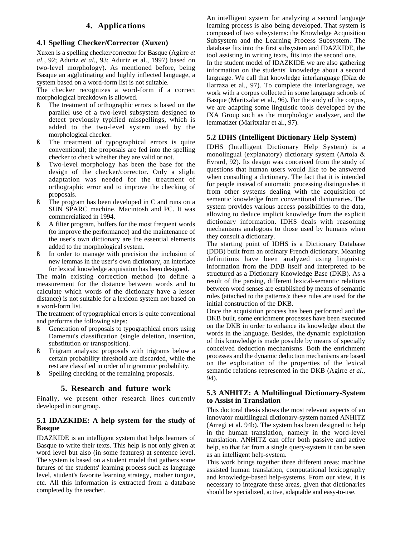## **4. Applications**

## **4.1 Spelling Checker/Corrector (Xuxen)**

Xuxen is a spelling checker/corrector for Basque (Agirre *et al.*, 92; Aduriz *et al.*, 93; Aduriz et al., 1997) based on two-level morphology). As mentioned before, being Basque an agglutinating and highly inflected language, a system based on a word-form list is not suitable.

The checker recognizes a word-form if a correct morphological breakdown is allowed.

- ß The treatment of orthographic errors is based on the parallel use of a two-level subsystem designed to detect previously typified misspellings, which is added to the two-level system used by the morphological checker.
- ß The treatment of typographical errors is quite conventional; the proposals are fed into the spelling checker to check whether they are valid or not.
- ß Two-level morphology has been the base for the design of the checker/corrector. Only a slight adaptation was needed for the treatment of orthographic error and to improve the checking of proposals.
- ß The program has been developed in C and runs on a SUN SPARC machine, Macintosh and PC. It was commercialized in 1994.
- ß A filter program, buffers for the most frequent words (to improve the performance) and the maintenance of the user's own dictionary are the essential elements added to the morphological system.
- In order to manage with precision the inclusion of new lemmas in the user's own dictionary, an interface for lexical knowledge acquisition has been designed.

The main existing correction method (to define a measurement for the distance between words and to calculate which words of the dictionary have a lesser distance) is not suitable for a lexicon system not based on a word-form list.

The treatment of typographical errors is quite conventional and performs the following steps:

- ß Generation of proposals to typographical errors using Damerau's classification (single deletion, insertion, substitution or transposition).
- ß Trigram analysis: proposals with trigrams below a certain probability threshold are discarded, while the rest are classified in order of trigrammic probability.
- ß Spelling checking of the remaining proposals.

## **5. Research and future work**

Finally, we present other research lines currently developed in our group.

## **5.1 IDAZKIDE: A help system for the study of Basque**

IDAZKIDE is an intelligent system that helps learners of Basque to write their texts. This help is not only given at word level but also (in some features) at sentence level. The system is based on a student model that gathers some futures of the students' learning process such as language level, student's favorite learning strategy, mother tongue, etc. All this information is extracted from a database completed by the teacher.

An intelligent system for analyzing a second language learning process is also being developed. That system is composed of two subsystems: the Knowledge Acquisition Subsystem and the Learning Process Subsystem. The database fits into the first subsystem and IDAZKIDE, the tool assisting in writing texts, fits into the second one.

In the student model of IDAZKIDE we are also gathering information on the students' knowledge about a second language. We call that knowledge interlanguage (Díaz de Ilarraza et al., 97). To complete the interlanguage, we work with a corpus collected in some language schools of Basque (Maritxalar et al., 96). For the study of the corpus, we are adapting some linguistic tools developed by the IXA Group such as the morphologic analyzer, and the lemmatizer (Maritxalar et al., 97).

## **5.2 IDHS (Intelligent Dictionary Help System)**

IDHS (Intelligent Dictionary Help System) is a monolingual (explanatory) dictionary system (Artola & Evrard, 92). Its design was conceived from the study of questions that human users would like to be answered when consulting a dictionary. The fact that it is intended for people instead of automatic processing distinguishes it from other systems dealing with the acquisition of semantic knowledge from conventional dictionaries. The system provides various access possibilities to the data, allowing to deduce implicit knowledge from the explicit dictionary information. IDHS deals with reasoning mechanisms analogous to those used by humans when they consult a dictionary.

The starting point of IDHS is a Dictionary Database (DDB) built from an ordinary French dictionary. Meaning definitions have been analyzed using linguistic information from the DDB itself and interpreted to be structured as a Dictionary Knowledge Base (DKB). As a result of the parsing, different lexical-semantic relations between word senses are established by means of semantic rules (attached to the patterns); these rules are used for the initial construction of the DKB.

Once the acquisition process has been performed and the DKB built, some enrichment processes have been executed on the DKB in order to enhance its knowledge about the words in the language. Besides, the dynamic exploitation of this knowledge is made possible by means of specially conceived deduction mechanisms. Both the enrichment processes and the dynamic deduction mechanisms are based on the exploitation of the properties of the lexical semantic relations represented in the DKB (Agirre *et al.*, 94).

## **5.3 ANHITZ: A Multilingual Dictionary-System to Assist in Translation**

This doctoral thesis shows the most relevant aspects of an innovator multilingual dictionary-system named ANHITZ (Arregi et al. 94b). The system has been designed to help in the human translation, namely in the word-level translation. ANHITZ can offer both passive and active help, so that far from a single query-system it can be seen as an intelligent help-system.

This work brings together three different areas: machine assisted human translation, computational lexicography and knowledge-based help-systems. From our view, it is necessary to integrate these areas, given that dictionaries should be specialized, active, adaptable and easy-to-use.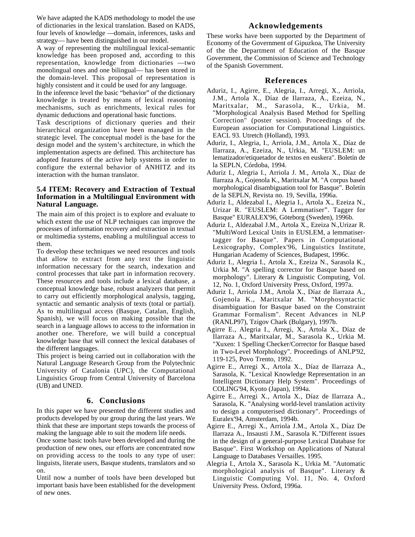We have adapted the KADS methodology to model the use of dictionaries in the lexical translation. Based on KADS, four levels of knowledge —domain, inferences, tasks and strategy— have been distinguished in our model.

A way of representing the multilingual lexical-semantic knowledge has been proposed and, according to this representation, knowledge from dictionaries —two monolingual ones and one bilingual— has been stored in the domain-level. This proposal of representation is highly consistent and it could be used for any language.

In the inference level the basic "behavior" of the dictionary knowledge is treated by means of lexical reasoning mechanisms, such as enrichments, lexical rules for dynamic deductions and operational basic functions.

Task descriptions of dictionary queries and their hierarchical organization have been managed in the strategic level. The conceptual model is the base for the design model and the system's architecture, in which the implementation aspects are defined. This architecture has adopted features of the active help systems in order to configure the external behavior of ANHITZ and its interaction with the human translator.

## **5.4 ITEM: Recovery and Extraction of Textual Information in a Multilingual Environment with Natural Language.**

The main aim of this project is to explore and evaluate to which extent the use of NLP techniques can improve the processes of information recovery and extraction in textual or multimedia systems, enabling a multilingual access to them.

To develop these techniques we need resources and tools that allow to extract from any text the linguistic information necessary for the search, indexation and control processes that take part in information recovery. These resources and tools include a lexical database, a conceptual knowledge base, robust analyzers that permit to carry out efficiently morphological analysis, tagging, syntactic and semantic analysis of texts (total or partial). As to multilingual access (Basque, Catalan, English, Spanish), we will focus on making possible that the search in a language allows to access to the information in another one. Therefore, we will build a conceptual knowledge base that will connect the lexical databases of the different languages.

This project is being carried out in collaboration with the Natural Language Research Group from the Polytechnic University of Catalonia (UPC), the Computational Linguistics Group from Central University of Barcelona (UB) and UNED.

## **6. Conclusions**

In this paper we have presented the different studies and products developed by our group during the last years. We think that these are important steps towards the process of making the language able to suit the modern life needs.

Once some basic tools have been developed and during the production of new ones, our efforts are concentrated now on providing access to the tools to any type of user: linguists, literate users, Basque students, translators and so on.

Until now a number of tools have been developed but important basis have been established for the development of new ones.

## **Acknowledgements**

These works have been supported by the Department of Economy of the Government of Gipuzkoa, The University of the the Department of Education of the Basque Government, the Commission of Science and Technology of the Spanish Government.

## **References**

- Aduriz, I., Agirre, E., Alegria, I., Arregi, X., Arriola, J.M., Artola X., Díaz de Ilarraza, A., Ezeiza, N., Maritxalar, M., Sarasola, K., Urkia, M. "Morphological Analysis Based Method for Spelling Correction" (poster session). Proceedings of the European association for Computational Linguistics. EACL 93. Utretch (Holland), 1993.
- Aduriz, I., Alegria, I., Arriola, J.M., Artola X., Díaz de Ilarraza, A., Ezeiza, N., Urkia, M. "EUSLEM: un lematizador/etiquetador de textos en euskera". Boletín de la SEPLN, Córdoba, 1994.
- Aduriz I., Alegria I., Arriola J. M., Artola X., Díaz de Ilarraza A., Gojenola K., Maritxalar M. "A corpus based morphological disambiguation tool for Basque". Boletín de la SEPLN, Revista no. 19, Sevilla, 1996a.
- Aduriz I., Aldezabal I., Alegria I., Artola X., Ezeiza N., Urizar R. "EUSLEM: A Lemmatiser". Tagger for Basque" EURALEX'96, Göteborg (Sweden), 1996b.
- Aduriz I., Aldezabal J.M., Artola X., Ezeiza N.,Urizar R. "MultiWord Lexical Units in EUSLEM, a lemmatisertagger for Basque". Papers in Computational Lexicography, Complex'96, Linguistics Institute, Hungarian Academy of Sciences, Budapest, 1996c.
- Aduriz I., Alegria I., Artola X., Ezeiza N., Sarasola K., Urkia M. "A spelling corrector for Basque based on morphology". Literary & Linguistic Computing, Vol. 12, No. 1, Oxford University Press, Oxford, 1997a.
- Aduriz I., Arriola J.M., Artola X., Díaz de Ilarraza A., Gojenola K., Maritxalar M. "Morphosyntactic disambiguation for Basque based on the Constraint Grammar Formalism". Recent Advances in NLP (RANLP97), Tzigov Chark (Bulgary), 1997b.
- Agirre E., Alegria I., Arregi, X., Artola X., Díaz de Ilarraza A., Maritxalar, M., Sarasola K., Urkia M. "Xuxen: 1 Spelling Checker/Corrector for Basque based in Two-Level Morphology". Proceedings of ANLP'92, 119-125, Povo Trento, 1992.
- Agirre E., Arregi X., Artola X., Díaz de Ilarraza A., Sarasola, K. "Lexical Knowledge Representation in an Intelligent Dictionary Help System". Proceedings of COLING'94, Kyoto (Japan), 1994a.
- Agirre E., Arregi X., Artola X., Díaz de Ilarraza A., Sarasola, K. "Analysing world-level translation activity to design a computerised dictionary". Proceedings of Euralex'94, Amsterdam, 1994b.
- Agirre E., Arregi X., Arriola J.M., Artola X., Díaz De Ilarraza A., Insausti J.M., Sarasola K."Different issues in the design of a general-purpose Lexical Database for Basque". First Workshop on Applications of Natural Language to Databases Versailles. 1995.
- Alegria I., Artola X., Sarasola K., Urkia M. "Automatic morphological analysis of Basque". Literary & Linguistic Computing Vol. 11, No. 4, Oxford University Press. Oxford, 1996a.